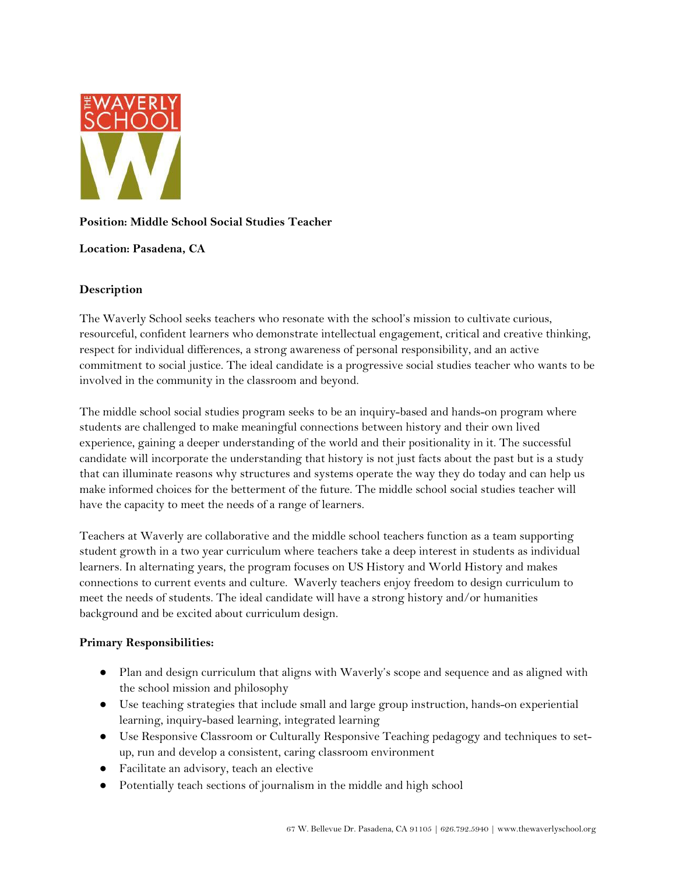

# **Position: Middle School Social Studies Teacher**

## **Location: Pasadena, CA**

## **Description**

The Waverly School seeks teachers who resonate with the school's mission to cultivate curious, resourceful, confident learners who demonstrate intellectual engagement, critical and creative thinking, respect for individual differences, a strong awareness of personal responsibility, and an active commitment to social justice. The ideal candidate is a progressive social studies teacher who wants to be involved in the community in the classroom and beyond.

The middle school social studies program seeks to be an inquiry-based and hands-on program where students are challenged to make meaningful connections between history and their own lived experience, gaining a deeper understanding of the world and their positionality in it. The successful candidate will incorporate the understanding that history is not just facts about the past but is a study that can illuminate reasons why structures and systems operate the way they do today and can help us make informed choices for the betterment of the future. The middle school social studies teacher will have the capacity to meet the needs of a range of learners.

Teachers at Waverly are collaborative and the middle school teachers function as a team supporting student growth in a two year curriculum where teachers take a deep interest in students as individual learners. In alternating years, the program focuses on US History and World History and makes connections to current events and culture. Waverly teachers enjoy freedom to design curriculum to meet the needs of students. The ideal candidate will have a strong history and/or humanities background and be excited about curriculum design.

## **Primary Responsibilities:**

- Plan and design curriculum that aligns with Waverly's scope and sequence and as aligned with the school mission and philosophy
- Use teaching strategies that include small and large group instruction, hands-on experiential learning, inquiry-based learning, integrated learning
- Use Responsive Classroom or Culturally Responsive Teaching pedagogy and techniques to setup, run and develop a consistent, caring classroom environment
- Facilitate an advisory, teach an elective
- Potentially teach sections of journalism in the middle and high school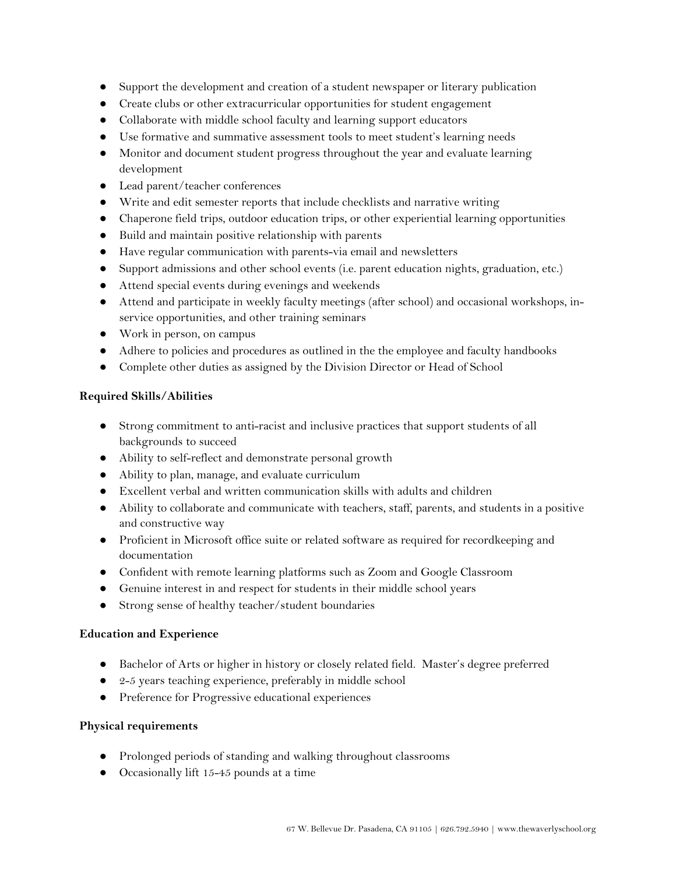- Support the development and creation of a student newspaper or literary publication
- Create clubs or other extracurricular opportunities for student engagement
- Collaborate with middle school faculty and learning support educators
- Use formative and summative assessment tools to meet student's learning needs
- Monitor and document student progress throughout the year and evaluate learning development
- Lead parent/teacher conferences
- Write and edit semester reports that include checklists and narrative writing
- Chaperone field trips, outdoor education trips, or other experiential learning opportunities
- Build and maintain positive relationship with parents
- Have regular communication with parents-via email and newsletters
- Support admissions and other school events (i.e. parent education nights, graduation, etc.)
- Attend special events during evenings and weekends
- Attend and participate in weekly faculty meetings (after school) and occasional workshops, inservice opportunities, and other training seminars
- Work in person, on campus
- Adhere to policies and procedures as outlined in the the employee and faculty handbooks
- Complete other duties as assigned by the Division Director or Head of School

## **Required Skills/Abilities**

- Strong commitment to anti-racist and inclusive practices that support students of all backgrounds to succeed
- Ability to self-reflect and demonstrate personal growth
- Ability to plan, manage, and evaluate curriculum
- Excellent verbal and written communication skills with adults and children
- Ability to collaborate and communicate with teachers, staff, parents, and students in a positive and constructive way
- Proficient in Microsoft office suite or related software as required for recordkeeping and documentation
- Confident with remote learning platforms such as Zoom and Google Classroom
- Genuine interest in and respect for students in their middle school years
- Strong sense of healthy teacher/student boundaries

## **Education and Experience**

- Bachelor of Arts or higher in history or closely related field. Master's degree preferred
- 2-5 years teaching experience, preferably in middle school
- Preference for Progressive educational experiences

## **Physical requirements**

- Prolonged periods of standing and walking throughout classrooms
- Occasionally lift 15-45 pounds at a time